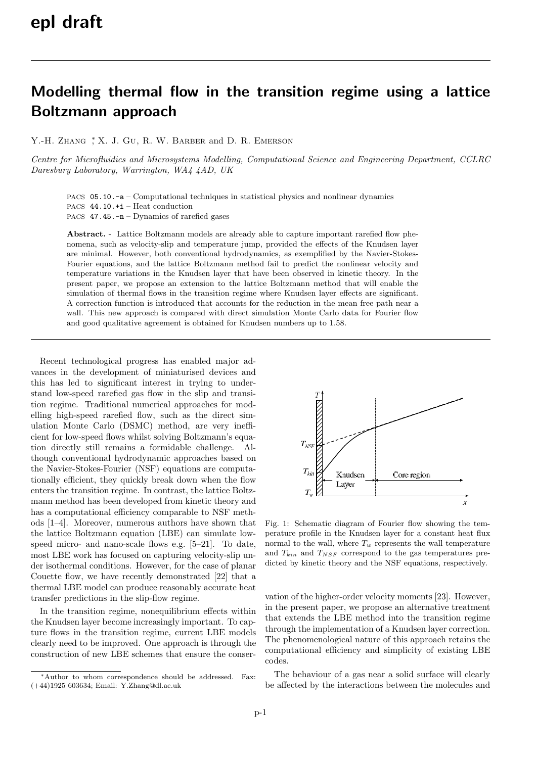## Modelling thermal flow in the transition regime using a lattice Boltzmann approach

Y.-H. ZHANG  $,X$ , J. GU, R. W. BARBER and D. R. EMERSON

Centre for Microfluidics and Microsystems Modelling, Computational Science and Engineering Department, CCLRC Daresbury Laboratory, Warrington, WA4 4AD, UK

PACS 05.10.-a – Computational techniques in statistical physics and nonlinear dynamics PACS 44.10.+i – Heat conduction

PACS 47.45.-n – Dynamics of rarefied gases

Abstract. - Lattice Boltzmann models are already able to capture important rarefied flow phenomena, such as velocity-slip and temperature jump, provided the effects of the Knudsen layer are minimal. However, both conventional hydrodynamics, as exemplified by the Navier-Stokes-Fourier equations, and the lattice Boltzmann method fail to predict the nonlinear velocity and temperature variations in the Knudsen layer that have been observed in kinetic theory. In the present paper, we propose an extension to the lattice Boltzmann method that will enable the simulation of thermal flows in the transition regime where Knudsen layer effects are significant. A correction function is introduced that accounts for the reduction in the mean free path near a wall. This new approach is compared with direct simulation Monte Carlo data for Fourier flow and good qualitative agreement is obtained for Knudsen numbers up to 1.58.

Recent technological progress has enabled major advances in the development of miniaturised devices and this has led to significant interest in trying to understand low-speed rarefied gas flow in the slip and transition regime. Traditional numerical approaches for modelling high-speed rarefied flow, such as the direct simulation Monte Carlo (DSMC) method, are very inefficient for low-speed flows whilst solving Boltzmann's equation directly still remains a formidable challenge. Although conventional hydrodynamic approaches based on the Navier-Stokes-Fourier (NSF) equations are computationally efficient, they quickly break down when the flow enters the transition regime. In contrast, the lattice Boltzmann method has been developed from kinetic theory and has a computational efficiency comparable to NSF methods [1–4]. Moreover, numerous authors have shown that the lattice Boltzmann equation (LBE) can simulate lowspeed micro- and nano-scale flows e.g. [5–21]. To date, most LBE work has focused on capturing velocity-slip under isothermal conditions. However, for the case of planar Couette flow, we have recently demonstrated [22] that a thermal LBE model can produce reasonably accurate heat transfer predictions in the slip-flow regime.

In the transition regime, nonequilibrium effects within the Knudsen layer become increasingly important. To capture flows in the transition regime, current LBE models clearly need to be improved. One approach is through the construction of new LBE schemes that ensure the conser-



Fig. 1: Schematic diagram of Fourier flow showing the temperature profile in the Knudsen layer for a constant heat flux normal to the wall, where  $T_w$  represents the wall temperature and  $T_{kin}$  and  $T_{NSF}$  correspond to the gas temperatures predicted by kinetic theory and the NSF equations, respectively.

vation of the higher-order velocity moments [23]. However, in the present paper, we propose an alternative treatment that extends the LBE method into the transition regime through the implementation of a Knudsen layer correction. The phenomenological nature of this approach retains the computational efficiency and simplicity of existing LBE codes.

The behaviour of a gas near a solid surface will clearly be affected by the interactions between the molecules and

<sup>∗</sup>Author to whom correspondence should be addressed. Fax: (+44)1925 603634; Email: Y.Zhang@dl.ac.uk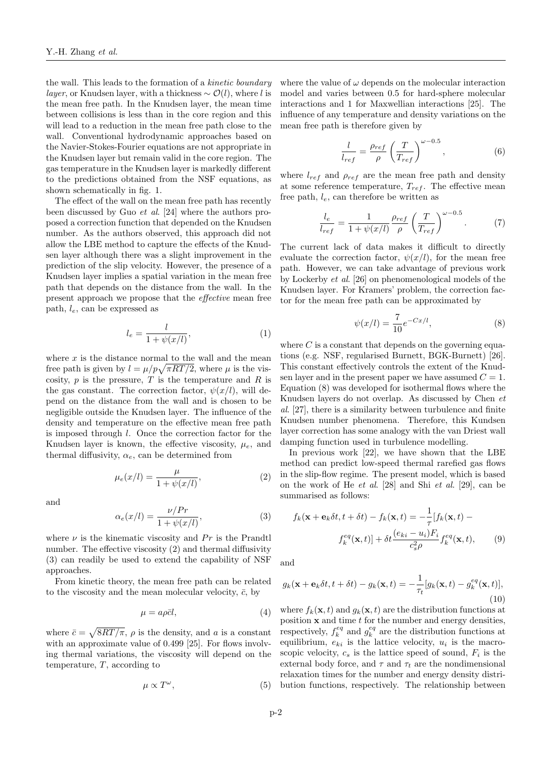the wall. This leads to the formation of a kinetic boundary layer, or Knudsen layer, with a thickness  $\sim \mathcal{O}(l)$ , where l is the mean free path. In the Knudsen layer, the mean time between collisions is less than in the core region and this will lead to a reduction in the mean free path close to the wall. Conventional hydrodynamic approaches based on the Navier-Stokes-Fourier equations are not appropriate in the Knudsen layer but remain valid in the core region. The gas temperature in the Knudsen layer is markedly different to the predictions obtained from the NSF equations, as shown schematically in fig. 1.

The effect of the wall on the mean free path has recently been discussed by Guo et al. [24] where the authors proposed a correction function that depended on the Knudsen number. As the authors observed, this approach did not allow the LBE method to capture the effects of the Knudsen layer although there was a slight improvement in the prediction of the slip velocity. However, the presence of a Knudsen layer implies a spatial variation in the mean free path that depends on the distance from the wall. In the present approach we propose that the effective mean free path,  $l_e$ , can be expressed as

$$
l_e = \frac{l}{1 + \psi(x/l)},\tag{1}
$$

where  $x$  is the distance normal to the wall and the mean free path is given by  $l = \mu/p\sqrt{\pi RT/2}$ , where  $\mu$  is the viscosity,  $p$  is the pressure,  $T$  is the temperature and  $R$  is the gas constant. The correction factor,  $\psi(x/l)$ , will depend on the distance from the wall and is chosen to be negligible outside the Knudsen layer. The influence of the density and temperature on the effective mean free path is imposed through l. Once the correction factor for the Knudsen layer is known, the effective viscosity,  $\mu_e$ , and thermal diffusivity,  $\alpha_e$ , can be determined from

$$
\mu_e(x/l) = \frac{\mu}{1 + \psi(x/l)},
$$
\n(2)

and

$$
\alpha_e(x/l) = \frac{\nu/Pr}{1 + \psi(x/l)},\tag{3}
$$

where  $\nu$  is the kinematic viscosity and  $Pr$  is the Prandtl number. The effective viscosity (2) and thermal diffusivity (3) can readily be used to extend the capability of NSF approaches.

From kinetic theory, the mean free path can be related to the viscosity and the mean molecular velocity,  $\bar{c}$ , by

$$
\mu = a\rho \bar{c}l,\tag{4}
$$

where  $\bar{c} = \sqrt{8RT/\pi}$ ,  $\rho$  is the density, and a is a constant with an approximate value of 0.499 [25]. For flows involving thermal variations, the viscosity will depend on the temperature,  $T$ , according to

$$
\mu \propto T^{\omega},\tag{5}
$$

where the value of  $\omega$  depends on the molecular interaction model and varies between 0.5 for hard-sphere molecular interactions and 1 for Maxwellian interactions [25]. The influence of any temperature and density variations on the mean free path is therefore given by

$$
\frac{l}{l_{ref}} = \frac{\rho_{ref}}{\rho} \left(\frac{T}{T_{ref}}\right)^{\omega - 0.5},\tag{6}
$$

where  $l_{ref}$  and  $\rho_{ref}$  are the mean free path and density at some reference temperature,  $T_{ref}$ . The effective mean free path,  $l_e$ , can therefore be written as

$$
\frac{l_e}{l_{ref}} = \frac{1}{1 + \psi(x/l)} \frac{\rho_{ref}}{\rho} \left(\frac{T}{T_{ref}}\right)^{\omega - 0.5}.
$$
 (7)

The current lack of data makes it difficult to directly evaluate the correction factor,  $\psi(x/l)$ , for the mean free path. However, we can take advantage of previous work by Lockerby et al. [26] on phenomenological models of the Knudsen layer. For Kramers' problem, the correction factor for the mean free path can be approximated by

$$
\psi(x/l) = \frac{7}{10} e^{-Cx/l},
$$
\n(8)

where  $C$  is a constant that depends on the governing equations (e.g. NSF, regularised Burnett, BGK-Burnett) [26]. This constant effectively controls the extent of the Knudsen layer and in the present paper we have assumed  $C = 1$ . Equation (8) was developed for isothermal flows where the Knudsen layers do not overlap. As discussed by Chen et al. [27], there is a similarity between turbulence and finite Knudsen number phenomena. Therefore, this Kundsen layer correction has some analogy with the van Driest wall damping function used in turbulence modelling.

In previous work [22], we have shown that the LBE method can predict low-speed thermal rarefied gas flows in the slip-flow regime. The present model, which is based on the work of He et al. [28] and Shi et al. [29], can be summarised as follows:

$$
f_k(\mathbf{x} + \mathbf{e}_k \delta t, t + \delta t) - f_k(\mathbf{x}, t) = -\frac{1}{\tau} [f_k(\mathbf{x}, t) - f_k(\mathbf{x}, t)] + \delta t \frac{(e_{ki} - u_i) F_i}{c_s^2 \rho} f_k^{eq}(\mathbf{x}, t), \tag{9}
$$

and

$$
g_k(\mathbf{x} + \mathbf{e}_k \delta t, t + \delta t) - g_k(\mathbf{x}, t) = -\frac{1}{\tau_t} [g_k(\mathbf{x}, t) - g_k^{eq}(\mathbf{x}, t)],
$$
\n(10)

where  $f_k(\mathbf{x},t)$  and  $g_k(\mathbf{x},t)$  are the distribution functions at position  $x$  and time  $t$  for the number and energy densities, respectively,  $f_k^{eq}$  and  $g_k^{eq}$  are the distribution functions at equilibrium,  $e_{ki}$  is the lattice velocity,  $u_i$  is the macroscopic velocity,  $c_s$  is the lattice speed of sound,  $F_i$  is the external body force, and  $\tau$  and  $\tau_t$  are the nondimensional relaxation times for the number and energy density distribution functions, respectively. The relationship between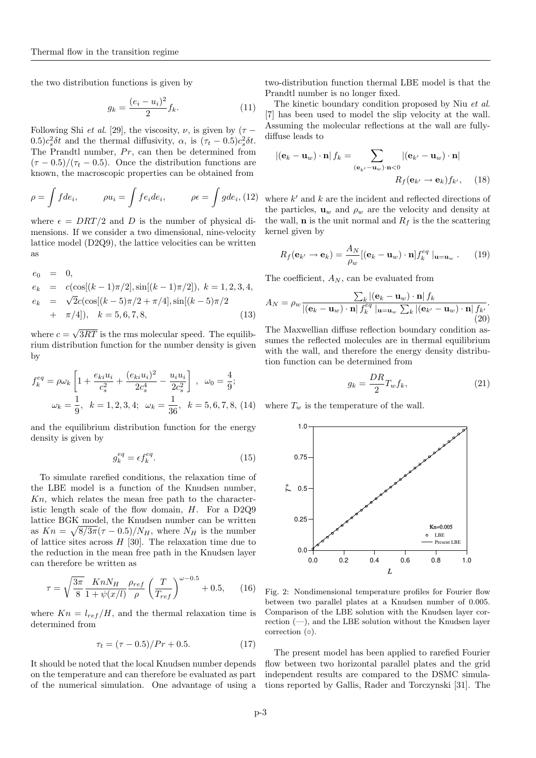the two distribution functions is given by

$$
g_k = \frac{(e_i - u_i)^2}{2} f_k.
$$
 (11)

Following Shi *et al.* [29], the viscosity,  $\nu$ , is given by ( $\tau$  −  $(0.5)c_s^2\delta t$  and the thermal diffusivity,  $\alpha$ , is  $(\tau_t - 0.5)c_s^2\delta t$ . The Prandtl number, Pr, can then be determined from  $(\tau - 0.5)/(\tau_t - 0.5)$ . Once the distribution functions are known, the macroscopic properties can be obtained from

$$
\rho = \int f d e_i, \qquad \rho u_i = \int f e_i d e_i, \qquad \rho \epsilon = \int g d e_i, (12)
$$

where  $\epsilon = DRT/2$  and D is the number of physical dimensions. If we consider a two dimensional, nine-velocity lattice model (D2Q9), the lattice velocities can be written as

$$
e_0 = 0,
$$
  
\n
$$
e_k = c(\cos[(k-1)\pi/2], \sin[(k-1)\pi/2]), k = 1, 2, 3, 4,
$$
  
\n
$$
e_k = \sqrt{2}c(\cos[(k-5)\pi/2 + \pi/4], \sin[(k-5)\pi/2 + \pi/4]), k = 5, 6, 7, 8,
$$
\n(13)

where  $c = \sqrt{3RT}$  is the rms molecular speed. The equilibrium distribution function for the number density is given by

$$
f_k^{eq} = \rho \omega_k \left[ 1 + \frac{e_{ki} u_i}{c_s^2} + \frac{(e_{ki} u_i)^2}{2c_s^4} - \frac{u_i u_i}{2c_s^2} \right], \quad \omega_0 = \frac{4}{9};
$$

$$
\omega_k = \frac{1}{9}, \quad k = 1, 2, 3, 4; \quad \omega_k = \frac{1}{36}, \quad k = 5, 6, 7, 8, \quad (14)
$$

and the equilibrium distribution function for the energy density is given by

$$
g_k^{eq} = \epsilon f_k^{eq}.\tag{15}
$$

To simulate rarefied conditions, the relaxation time of the LBE model is a function of the Knudsen number,  $Kn$ , which relates the mean free path to the characteristic length scale of the flow domain, H. For a D2Q9 lattice BGK model, the Knudsen number can be written as  $Kn = \sqrt{8/3\pi}(\tau - 0.5)/N_H$ , where  $N_H$  is the number of lattice sites across  $H$  [30]. The relaxation time due to the reduction in the mean free path in the Knudsen layer can therefore be written as

$$
\tau = \sqrt{\frac{3\pi}{8}} \frac{KnN_H}{1 + \psi(x/l)} \frac{\rho_{ref}}{\rho} \left(\frac{T}{T_{ref}}\right)^{\omega - 0.5} + 0.5, \quad (16)
$$

where  $Kn = l_{ref}/H$ , and the thermal relaxation time is determined from

$$
\tau_t = (\tau - 0.5)/Pr + 0.5.
$$
 (17)

It should be noted that the local Knudsen number depends on the temperature and can therefore be evaluated as part of the numerical simulation. One advantage of using a two-distribution function thermal LBE model is that the Prandtl number is no longer fixed.

The kinetic boundary condition proposed by Niu et al. [7] has been used to model the slip velocity at the wall. Assuming the molecular reflections at the wall are fullydiffuse leads to

$$
|(\mathbf{e}_k - \mathbf{u}_w) \cdot \mathbf{n}| f_k = \sum_{(\mathbf{e}_{k'} - \mathbf{u}_w) \cdot \mathbf{n} < 0} |(\mathbf{e}_{k'} - \mathbf{u}_w) \cdot \mathbf{n}|
$$
  

$$
R_f(\mathbf{e}_{k'} \to \mathbf{e}_k) f_{k'}, \quad (18)
$$

where  $k'$  and  $k$  are the incident and reflected directions of the particles,  $\mathbf{u}_w$  and  $\rho_w$  are the velocity and density at the wall, **n** is the unit normal and  $R_f$  is the the scattering kernel given by

$$
R_f(\mathbf{e}_{k'} \to \mathbf{e}_k) = \frac{A_N}{\rho_w} [(\mathbf{e}_k - \mathbf{u}_w) \cdot \mathbf{n}] f_k^{eq} |_{\mathbf{u} = \mathbf{u}_w}.
$$
 (19)

The coefficient,  $A_N$ , can be evaluated from

$$
A_N = \rho_w \frac{\sum_k |(\mathbf{e}_k - \mathbf{u}_w) \cdot \mathbf{n}| f_k}{|(\mathbf{e}_k - \mathbf{u}_w) \cdot \mathbf{n}| f_k^{eq} |_{\mathbf{u} = \mathbf{u}_w} \sum_k |(\mathbf{e}_{k'} - \mathbf{u}_w) \cdot \mathbf{n}| f_{k'}}.
$$
\n(20)

The Maxwellian diffuse reflection boundary condition assumes the reflected molecules are in thermal equilibrium with the wall, and therefore the energy density distribution function can be determined from

$$
g_k = \frac{DR}{2} T_w f_k,\tag{21}
$$

where  $T_w$  is the temperature of the wall.



Fig. 2: Nondimensional temperature profiles for Fourier flow between two parallel plates at a Knudsen number of 0.005. Comparison of the LBE solution with the Knudsen layer correction  $(-)$ , and the LBE solution without the Knudsen layer correction (◦).

The present model has been applied to rarefied Fourier flow between two horizontal parallel plates and the grid independent results are compared to the DSMC simulations reported by Gallis, Rader and Torczynski [31]. The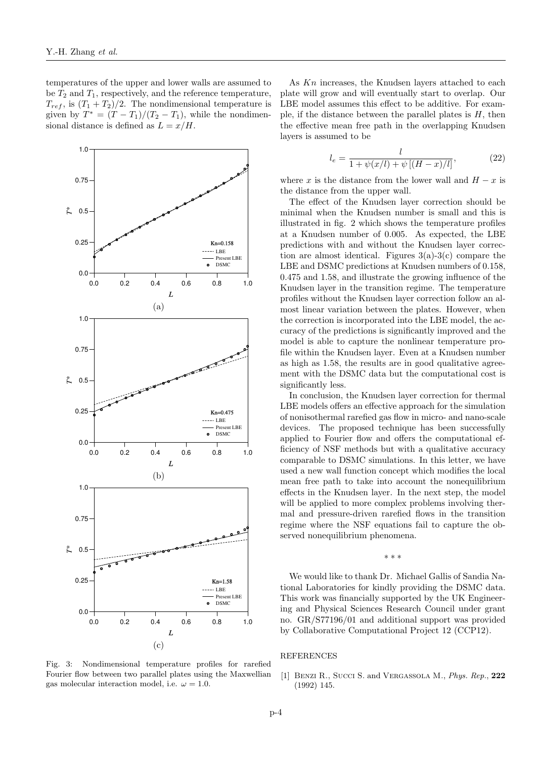temperatures of the upper and lower walls are assumed to be  $T_2$  and  $T_1$ , respectively, and the reference temperature,  $T_{ref}$ , is  $(T_1 + T_2)/2$ . The nondimensional temperature is given by  $T^* = (T - T_1)/(T_2 - T_1)$ , while the nondimensional distance is defined as  $L = x/H$ .



Fig. 3: Nondimensional temperature profiles for rarefied Fourier flow between two parallel plates using the Maxwellian gas molecular interaction model, i.e.  $\omega = 1.0$ .

As  $Kn$  increases, the Knudsen layers attached to each plate will grow and will eventually start to overlap. Our LBE model assumes this effect to be additive. For example, if the distance between the parallel plates is  $H$ , then the effective mean free path in the overlapping Knudsen layers is assumed to be

$$
l_e = \frac{l}{1 + \psi(x/l) + \psi[(H - x)/l]},
$$
\n(22)

where x is the distance from the lower wall and  $H - x$  is the distance from the upper wall.

The effect of the Knudsen layer correction should be minimal when the Knudsen number is small and this is illustrated in fig. 2 which shows the temperature profiles at a Knudsen number of 0.005. As expected, the LBE predictions with and without the Knudsen layer correction are almost identical. Figures  $3(a)-3(c)$  compare the LBE and DSMC predictions at Knudsen numbers of 0.158, 0.475 and 1.58, and illustrate the growing influence of the Knudsen layer in the transition regime. The temperature profiles without the Knudsen layer correction follow an almost linear variation between the plates. However, when the correction is incorporated into the LBE model, the accuracy of the predictions is significantly improved and the model is able to capture the nonlinear temperature profile within the Knudsen layer. Even at a Knudsen number as high as 1.58, the results are in good qualitative agreement with the DSMC data but the computational cost is significantly less.

In conclusion, the Knudsen layer correction for thermal LBE models offers an effective approach for the simulation of nonisothermal rarefied gas flow in micro- and nano-scale devices. The proposed technique has been successfully applied to Fourier flow and offers the computational efficiency of NSF methods but with a qualitative accuracy comparable to DSMC simulations. In this letter, we have used a new wall function concept which modifies the local mean free path to take into account the nonequilibrium effects in the Knudsen layer. In the next step, the model will be applied to more complex problems involving thermal and pressure-driven rarefied flows in the transition regime where the NSF equations fail to capture the observed nonequilibrium phenomena.

∗ ∗ ∗

We would like to thank Dr. Michael Gallis of Sandia National Laboratories for kindly providing the DSMC data. This work was financially supported by the UK Engineering and Physical Sciences Research Council under grant no. GR/S77196/01 and additional support was provided by Collaborative Computational Project 12 (CCP12).

## REFERENCES

[1] Benzi R., Succi S. and Vergassola M., *Phys. Rep.*, 222 (1992) 145.